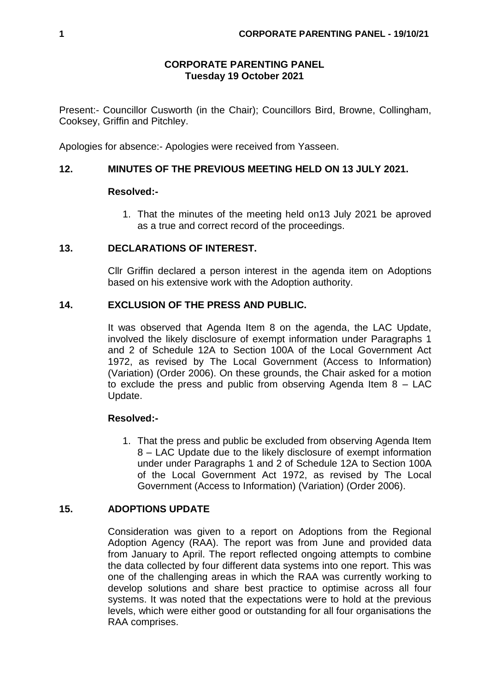## **CORPORATE PARENTING PANEL Tuesday 19 October 2021**

Present:- Councillor Cusworth (in the Chair); Councillors Bird, Browne, Collingham, Cooksey, Griffin and Pitchley.

Apologies for absence:- Apologies were received from Yasseen.

# **12. MINUTES OF THE PREVIOUS MEETING HELD ON 13 JULY 2021.**

### **Resolved:-**

1. That the minutes of the meeting held on13 July 2021 be aproved as a true and correct record of the proceedings.

## **13. DECLARATIONS OF INTEREST.**

Cllr Griffin declared a person interest in the agenda item on Adoptions based on his extensive work with the Adoption authority.

## **14. EXCLUSION OF THE PRESS AND PUBLIC.**

It was observed that Agenda Item 8 on the agenda, the LAC Update, involved the likely disclosure of exempt information under Paragraphs 1 and 2 of Schedule 12A to Section 100A of the Local Government Act 1972, as revised by The Local Government (Access to Information) (Variation) (Order 2006). On these grounds, the Chair asked for a motion to exclude the press and public from observing Agenda Item 8 – LAC Update.

## **Resolved:-**

1. That the press and public be excluded from observing Agenda Item 8 – LAC Update due to the likely disclosure of exempt information under under Paragraphs 1 and 2 of Schedule 12A to Section 100A of the Local Government Act 1972, as revised by The Local Government (Access to Information) (Variation) (Order 2006).

# **15. ADOPTIONS UPDATE**

Consideration was given to a report on Adoptions from the Regional Adoption Agency (RAA). The report was from June and provided data from January to April. The report reflected ongoing attempts to combine the data collected by four different data systems into one report. This was one of the challenging areas in which the RAA was currently working to develop solutions and share best practice to optimise across all four systems. It was noted that the expectations were to hold at the previous levels, which were either good or outstanding for all four organisations the RAA comprises.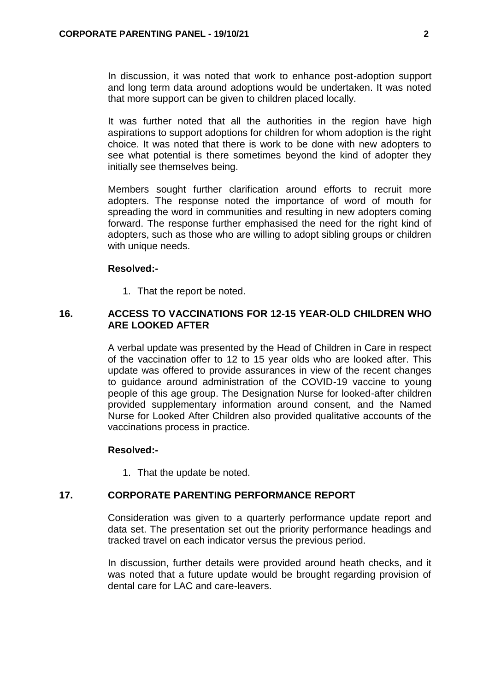In discussion, it was noted that work to enhance post-adoption support and long term data around adoptions would be undertaken. It was noted that more support can be given to children placed locally.

It was further noted that all the authorities in the region have high aspirations to support adoptions for children for whom adoption is the right choice. It was noted that there is work to be done with new adopters to see what potential is there sometimes beyond the kind of adopter they initially see themselves being.

Members sought further clarification around efforts to recruit more adopters. The response noted the importance of word of mouth for spreading the word in communities and resulting in new adopters coming forward. The response further emphasised the need for the right kind of adopters, such as those who are willing to adopt sibling groups or children with unique needs.

#### **Resolved:-**

1. That the report be noted.

### **16. ACCESS TO VACCINATIONS FOR 12-15 YEAR-OLD CHILDREN WHO ARE LOOKED AFTER**

A verbal update was presented by the Head of Children in Care in respect of the vaccination offer to 12 to 15 year olds who are looked after. This update was offered to provide assurances in view of the recent changes to guidance around administration of the COVID-19 vaccine to young people of this age group. The Designation Nurse for looked-after children provided supplementary information around consent, and the Named Nurse for Looked After Children also provided qualitative accounts of the vaccinations process in practice.

#### **Resolved:-**

1. That the update be noted.

#### **17. CORPORATE PARENTING PERFORMANCE REPORT**

Consideration was given to a quarterly performance update report and data set. The presentation set out the priority performance headings and tracked travel on each indicator versus the previous period.

In discussion, further details were provided around heath checks, and it was noted that a future update would be brought regarding provision of dental care for LAC and care-leavers.